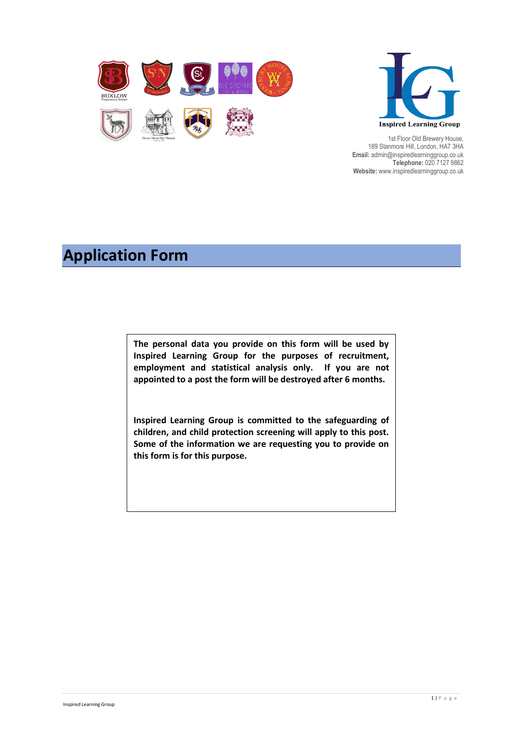



1st Floor Old Brewery House, 189 Stanmore Hill, London, HA7 3HA **Email:** admin@inspiredlearninggroup.co.uk **Telephone:** 020 7127 9862 **Website:** www.inspiredlearninggroup.co.uk

# **Application Form**

**The personal data you provide on this form will be used by Inspired Learning Group for the purposes of recruitment, employment and statistical analysis only. If you are not appointed to a post the form will be destroyed after 6 months.**

**Inspired Learning Group is committed to the safeguarding of children, and child protection screening will apply to this post. Some of the information we are requesting you to provide on this form is for this purpose.**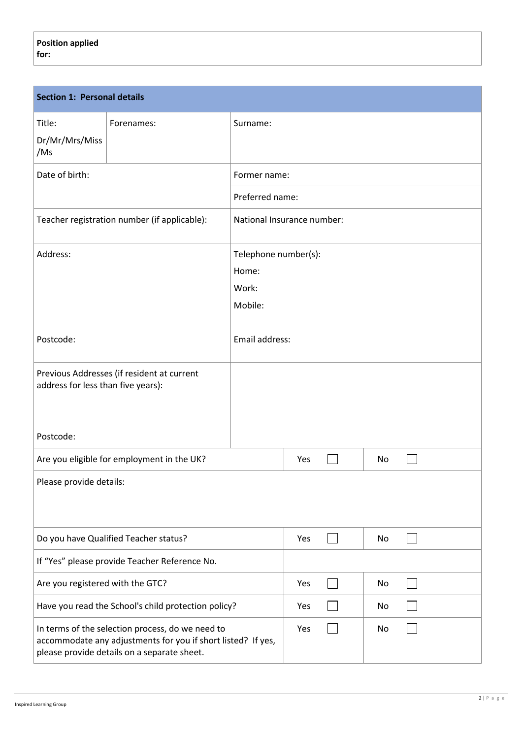| <b>Section 1: Personal details</b>                                                                                                                              |                                                     |                            |     |    |    |  |
|-----------------------------------------------------------------------------------------------------------------------------------------------------------------|-----------------------------------------------------|----------------------------|-----|----|----|--|
| Title:<br>Dr/Mr/Mrs/Miss<br>/Ms                                                                                                                                 | Forenames:                                          | Surname:                   |     |    |    |  |
| Date of birth:                                                                                                                                                  |                                                     | Former name:               |     |    |    |  |
|                                                                                                                                                                 |                                                     | Preferred name:            |     |    |    |  |
|                                                                                                                                                                 | Teacher registration number (if applicable):        | National Insurance number: |     |    |    |  |
| Address:                                                                                                                                                        |                                                     | Telephone number(s):       |     |    |    |  |
|                                                                                                                                                                 |                                                     | Home:                      |     |    |    |  |
|                                                                                                                                                                 |                                                     | Work:                      |     |    |    |  |
|                                                                                                                                                                 |                                                     | Mobile:                    |     |    |    |  |
| Postcode:                                                                                                                                                       |                                                     | Email address:             |     |    |    |  |
| Previous Addresses (if resident at current<br>address for less than five years):                                                                                |                                                     |                            |     |    |    |  |
| Postcode:                                                                                                                                                       |                                                     |                            |     |    |    |  |
|                                                                                                                                                                 | Are you eligible for employment in the UK?          |                            | Yes |    | No |  |
| Please provide details:                                                                                                                                         |                                                     |                            |     |    |    |  |
|                                                                                                                                                                 | Do you have Qualified Teacher status?               |                            | Yes |    | No |  |
| If "Yes" please provide Teacher Reference No.                                                                                                                   |                                                     |                            |     |    |    |  |
| Are you registered with the GTC?                                                                                                                                |                                                     |                            | Yes |    | No |  |
|                                                                                                                                                                 | Have you read the School's child protection policy? |                            | Yes |    | No |  |
| In terms of the selection process, do we need to<br>accommodate any adjustments for you if short listed? If yes,<br>please provide details on a separate sheet. |                                                     | Yes                        |     | No |    |  |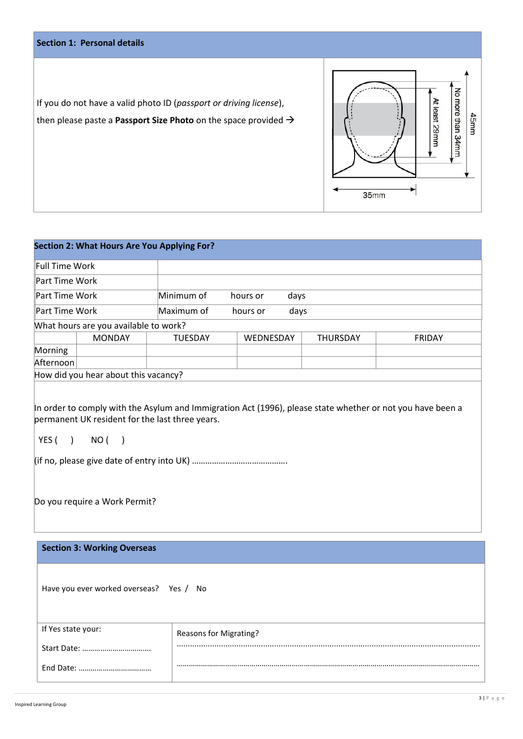|                                                                                                                                                          | <b>Section 1: Personal details</b>          |                |           |               |                           |               |  |
|----------------------------------------------------------------------------------------------------------------------------------------------------------|---------------------------------------------|----------------|-----------|---------------|---------------------------|---------------|--|
| If you do not have a valid photo ID (passport or driving license),<br>then please paste a <b>Passport Size Photo</b> on the space provided $\rightarrow$ |                                             |                | 35mm      | At least 29mm | No more than 34mm<br>45mm |               |  |
|                                                                                                                                                          | Section 2: What Hours Are You Applying For? |                |           |               |                           |               |  |
| $\mathord{\mathord{\mathbb F}}$ ull Time Work                                                                                                            |                                             |                |           |               |                           |               |  |
| $\ $ Part Time Work                                                                                                                                      |                                             |                |           |               |                           |               |  |
| Part Time Work                                                                                                                                           |                                             | Minimum of     | hours or  | days          |                           |               |  |
| Part Time Work                                                                                                                                           |                                             | Maximum of     | hours or  | days          |                           |               |  |
|                                                                                                                                                          | What hours are you available to work?       |                |           |               |                           |               |  |
|                                                                                                                                                          | <b>MONDAY</b>                               | <b>TUESDAY</b> | WEDNESDAY |               | <b>THURSDAY</b>           | <b>FRIDAY</b> |  |

Afternoon How did you hear about this vacancy?

In order to comply with the Asylum and Immigration Act (1996), please state whether or not you have been a permanent UK resident for the last three years.

YES ( ) NO ( )

Morning

(if no, please give date of entry into UK) …………………………………….

Do you require a Work Permit?

#### **Section 3: Working Overseas**

YES ( ) NO ( ) NO ( ) NO ( ) NO ( ) NO ( ) NO ( ) NO ( ) NO ( ) NO ( ) NO ( ) NO ( ) NO ( ) NO ( ) NO ( ) NO (

| Have you ever worked overseas? Yes / No |  |  |
|-----------------------------------------|--|--|
|                                         |  |  |

| If Yes state your: | Reasons for Migrating? |
|--------------------|------------------------|
| Start Date:        |                        |
|                    |                        |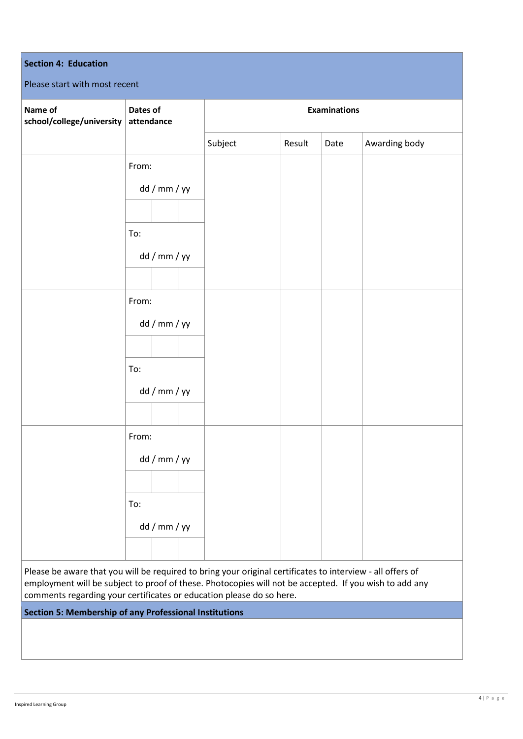| <b>Section 4: Education</b><br>Please start with most recent                                               |                        |         |        |                     |               |
|------------------------------------------------------------------------------------------------------------|------------------------|---------|--------|---------------------|---------------|
| Name of<br>school/college/university                                                                       | Dates of<br>attendance |         |        | <b>Examinations</b> |               |
|                                                                                                            |                        | Subject | Result | Date                | Awarding body |
|                                                                                                            | From:                  |         |        |                     |               |
|                                                                                                            | dd / mm / yy           |         |        |                     |               |
|                                                                                                            |                        |         |        |                     |               |
|                                                                                                            | To:                    |         |        |                     |               |
|                                                                                                            | dd / mm / yy           |         |        |                     |               |
|                                                                                                            |                        |         |        |                     |               |
|                                                                                                            | From:                  |         |        |                     |               |
|                                                                                                            | dd / mm / yy           |         |        |                     |               |
|                                                                                                            |                        |         |        |                     |               |
|                                                                                                            | To:                    |         |        |                     |               |
|                                                                                                            | dd / mm / yy           |         |        |                     |               |
|                                                                                                            |                        |         |        |                     |               |
|                                                                                                            | From:                  |         |        |                     |               |
|                                                                                                            | dd / mm / yy           |         |        |                     |               |
|                                                                                                            |                        |         |        |                     |               |
|                                                                                                            | To:                    |         |        |                     |               |
|                                                                                                            | dd / mm / yy           |         |        |                     |               |
|                                                                                                            |                        |         |        |                     |               |
| Please be aware that you will be required to bring your original certificates to interview - all offers of |                        |         |        |                     |               |

employment will be subject to proof of these. Photocopies will not be accepted. If you wish to add any comments regarding your certificates or education please do so here.

# **Section 5: Membership of any Professional Institutions**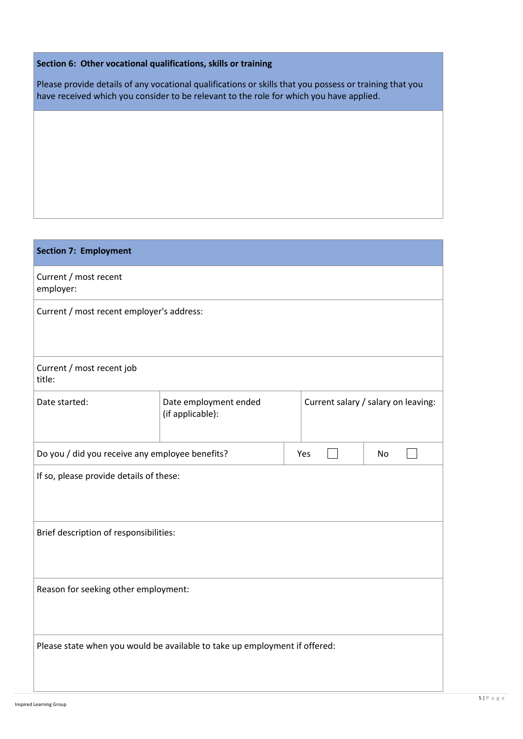## **Section 6: Other vocational qualifications, skills or training**

Please provide details of any vocational qualifications or skills that you possess or training that you have received which you consider to be relevant to the role for which you have applied.

| <b>Section 7: Employment</b>                                               |  |  |                                     |    |  |
|----------------------------------------------------------------------------|--|--|-------------------------------------|----|--|
| Current / most recent<br>employer:                                         |  |  |                                     |    |  |
| Current / most recent employer's address:                                  |  |  |                                     |    |  |
|                                                                            |  |  |                                     |    |  |
| Current / most recent job<br>title:                                        |  |  |                                     |    |  |
| Date started:<br>Date employment ended<br>(if applicable):                 |  |  | Current salary / salary on leaving: |    |  |
| Do you / did you receive any employee benefits?                            |  |  | Yes                                 | No |  |
| If so, please provide details of these:                                    |  |  |                                     |    |  |
| Brief description of responsibilities:                                     |  |  |                                     |    |  |
| Reason for seeking other employment:                                       |  |  |                                     |    |  |
| Please state when you would be available to take up employment if offered: |  |  |                                     |    |  |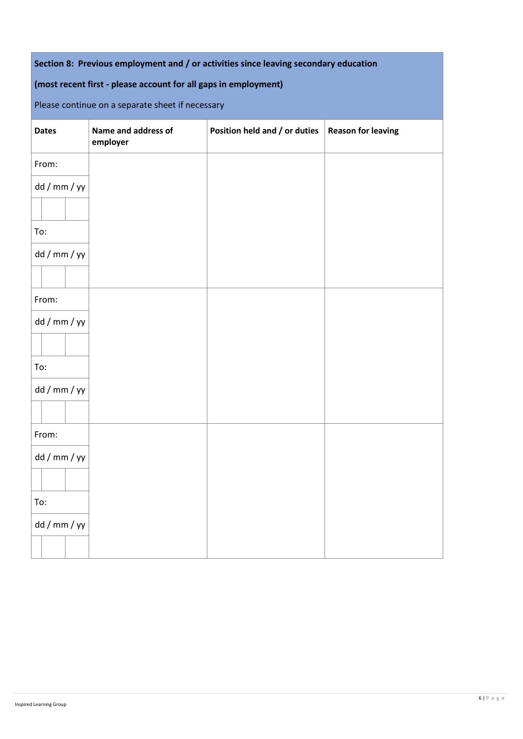| Section 8: Previous employment and / or activities since leaving secondary education |  |  |
|--------------------------------------------------------------------------------------|--|--|
|--------------------------------------------------------------------------------------|--|--|

# **(most recent first - please account for all gaps in employment)**

Please continue on a separate sheet if necessary

| <b>Dates</b> | Name and address of<br>employer | Position held and / or duties | <b>Reason for leaving</b> |
|--------------|---------------------------------|-------------------------------|---------------------------|
| From:        |                                 |                               |                           |
| dd / mm / yy |                                 |                               |                           |
|              |                                 |                               |                           |
| To:          |                                 |                               |                           |
| dd / mm / yy |                                 |                               |                           |
|              |                                 |                               |                           |
| From:        |                                 |                               |                           |
| dd / mm / yy |                                 |                               |                           |
|              |                                 |                               |                           |
| To:          |                                 |                               |                           |
| dd / mm / yy |                                 |                               |                           |
|              |                                 |                               |                           |
| From:        |                                 |                               |                           |
| dd / mm / yy |                                 |                               |                           |
|              |                                 |                               |                           |
| To:          |                                 |                               |                           |
| dd / mm / yy |                                 |                               |                           |
|              |                                 |                               |                           |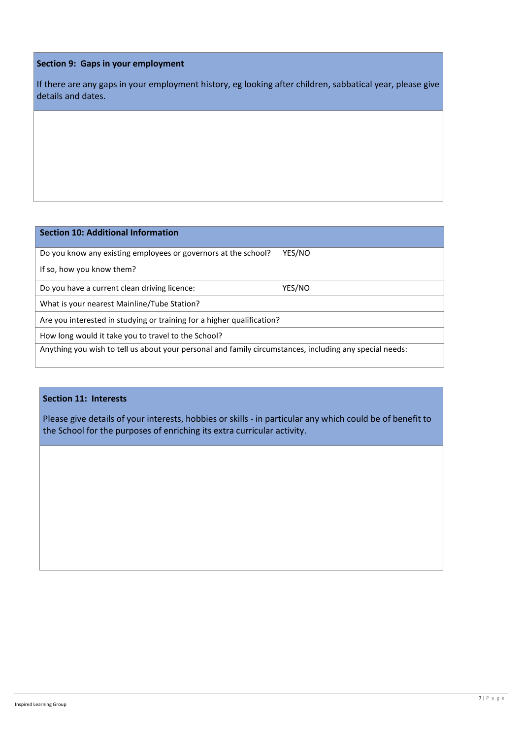#### **Section 9: Gaps in your employment**

If there are any gaps in your employment history, eg looking after children, sabbatical year, please give details and dates.

### **Section 10: Additional Information**

Do you know any existing employees or governors at the school? YES/NO

If so, how you know them?

Do you have a current clean driving licence: YES/NO

What is your nearest Mainline/Tube Station?

Are you interested in studying or training for a higher qualification?

How long would it take you to travel to the School?

Anything you wish to tell us about your personal and family circumstances, including any special needs:

#### **Section 11: Interests**

Please give details of your interests, hobbies or skills - in particular any which could be of benefit to the School for the purposes of enriching its extra curricular activity.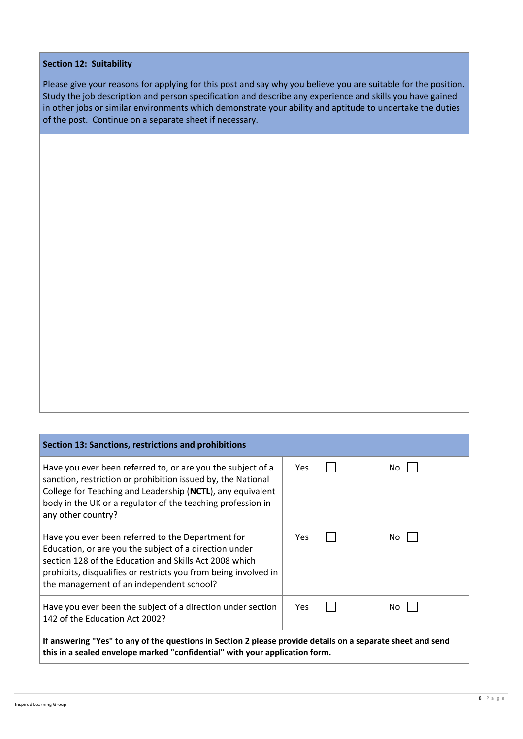### **Section 12: Suitability**

Please give your reasons for applying for this post and say why you believe you are suitable for the position. Study the job description and person specification and describe any experience and skills you have gained in other jobs or similar environments which demonstrate your ability and aptitude to undertake the duties of the post. Continue on a separate sheet if necessary.

| Section 13: Sanctions, restrictions and prohibitions                                                                                                                                                                                                                                 |            |  |     |
|--------------------------------------------------------------------------------------------------------------------------------------------------------------------------------------------------------------------------------------------------------------------------------------|------------|--|-----|
| Have you ever been referred to, or are you the subject of a<br>sanction, restriction or prohibition issued by, the National<br>College for Teaching and Leadership (NCTL), any equivalent<br>body in the UK or a regulator of the teaching profession in<br>any other country?       | <b>Yes</b> |  | No. |
| Have you ever been referred to the Department for<br>Education, or are you the subject of a direction under<br>section 128 of the Education and Skills Act 2008 which<br>prohibits, disqualifies or restricts you from being involved in<br>the management of an independent school? | <b>Yes</b> |  | No. |
| Have you ever been the subject of a direction under section<br>142 of the Education Act 2002?                                                                                                                                                                                        | Yes.       |  | No  |
| If answering "Yes" to any of the questions in Section 2 please provide details on a separate sheet and send<br>this in a sealed envelope marked "confidential" with your application form.                                                                                           |            |  |     |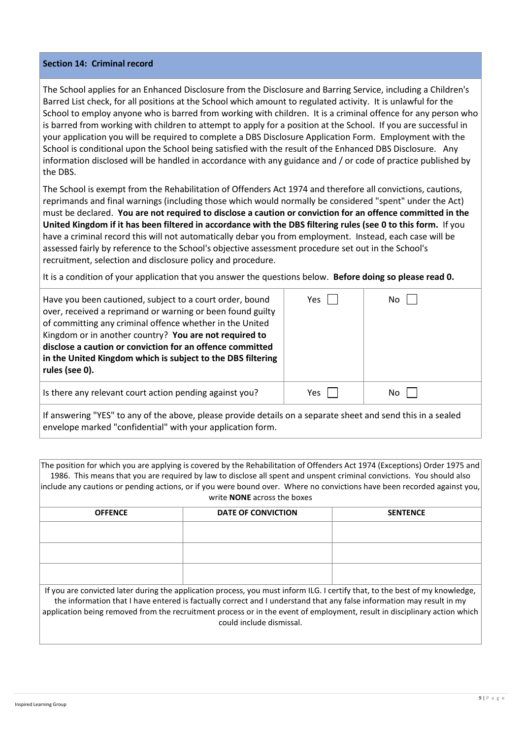#### **Section 14: Criminal record**

The School applies for an Enhanced Disclosure from the Disclosure and Barring Service, including a Children's Barred List check, for all positions at the School which amount to regulated activity. It is unlawful for the School to employ anyone who is barred from working with children. It is a criminal offence for any person who is barred from working with children to attempt to apply for a position at the School. If you are successful in your application you will be required to complete a DBS Disclosure Application Form. Employment with the School is conditional upon the School being satisfied with the result of the Enhanced DBS Disclosure. Any information disclosed will be handled in accordance with any guidance and / or code of practice published by the DBS.

The School is exempt from the Rehabilitation of Offenders Act 1974 and therefore all convictions, cautions, reprimands and final warnings (including those which would normally be considered "spent" under the Act) must be declared. **You are not required to disclose a caution or conviction for an offence committed in the United Kingdom if it has been filtered in accordance with the DBS filtering rules (se[e 0](#page-12-0) to this form.** If you have a criminal record this will not automatically debar you from employment. Instead, each case will be assessed fairly by reference to the School's objective assessment procedure set out in the School's recruitment, selection and disclosure policy and procedure.

It is a condition of your application that you answer the questions below. **Before doing so please read [0.](#page-12-0)**

| Have you been cautioned, subject to a court order, bound<br>over, received a reprimand or warning or been found guilty<br>of committing any criminal offence whether in the United<br>Kingdom or in another country? You are not required to<br>disclose a caution or conviction for an offence committed<br>in the United Kingdom which is subject to the DBS filtering<br>rules (see 0). | Yes | No  |  |
|--------------------------------------------------------------------------------------------------------------------------------------------------------------------------------------------------------------------------------------------------------------------------------------------------------------------------------------------------------------------------------------------|-----|-----|--|
| Is there any relevant court action pending against you?                                                                                                                                                                                                                                                                                                                                    | Yes | No. |  |
|                                                                                                                                                                                                                                                                                                                                                                                            |     |     |  |

If answering "YES" to any of the above, please provide details on a separate sheet and send this in a sealed envelope marked "confidential" with your application form.

The position for which you are applying is covered by the Rehabilitation of Offenders Act 1974 (Exceptions) Order 1975 and 1986. This means that you are required by law to disclose all spent and unspent criminal convictions. You should also include any cautions or pending actions, or if you were bound over. Where no convictions have been recorded against you, write **NONE** across the boxes

| <b>OFFENCE</b>                                                                                                               | DATE OF CONVICTION | <b>SENTENCE</b> |  |  |
|------------------------------------------------------------------------------------------------------------------------------|--------------------|-----------------|--|--|
|                                                                                                                              |                    |                 |  |  |
|                                                                                                                              |                    |                 |  |  |
|                                                                                                                              |                    |                 |  |  |
|                                                                                                                              |                    |                 |  |  |
|                                                                                                                              |                    |                 |  |  |
|                                                                                                                              |                    |                 |  |  |
| If you are convicted later during the application process, you must inform ILG. I certify that, to the best of my knowledge, |                    |                 |  |  |

the information that I have entered is factually correct and I understand that any false information may result in my application being removed from the recruitment process or in the event of employment, result in disciplinary action which could include dismissal.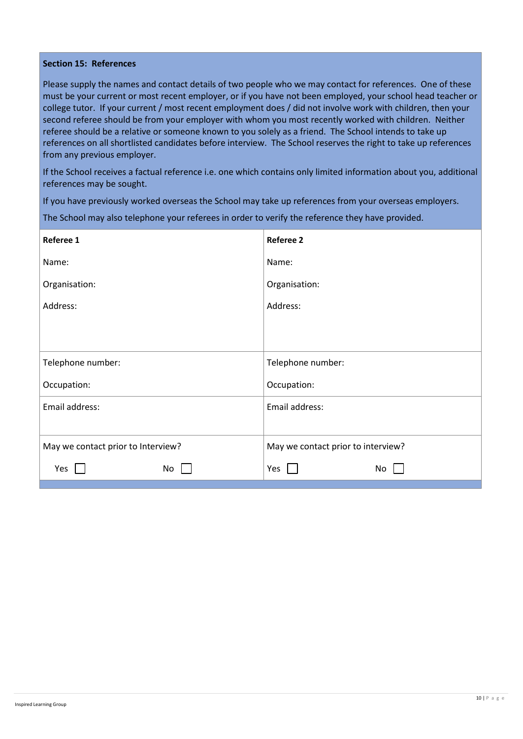#### **Section 15: References**

Please supply the names and contact details of two people who we may contact for references. One of these must be your current or most recent employer, or if you have not been employed, your school head teacher or college tutor. If your current / most recent employment does / did not involve work with children, then your second referee should be from your employer with whom you most recently worked with children. Neither referee should be a relative or someone known to you solely as a friend. The School intends to take up references on all shortlisted candidates before interview. The School reserves the right to take up references from any previous employer.

If the School receives a factual reference i.e. one which contains only limited information about you, additional references may be sought.

If you have previously worked overseas the School may take up references from your overseas employers.

The School may also telephone your referees in order to verify the reference they have provided.

| Referee 1                          | <b>Referee 2</b>                   |
|------------------------------------|------------------------------------|
| Name:                              | Name:                              |
| Organisation:                      | Organisation:                      |
| Address:                           | Address:                           |
|                                    |                                    |
| Telephone number:                  | Telephone number:                  |
| Occupation:                        | Occupation:                        |
| Email address:                     | Email address:                     |
| May we contact prior to Interview? | May we contact prior to interview? |
| Yes<br>No                          | Yes<br>No                          |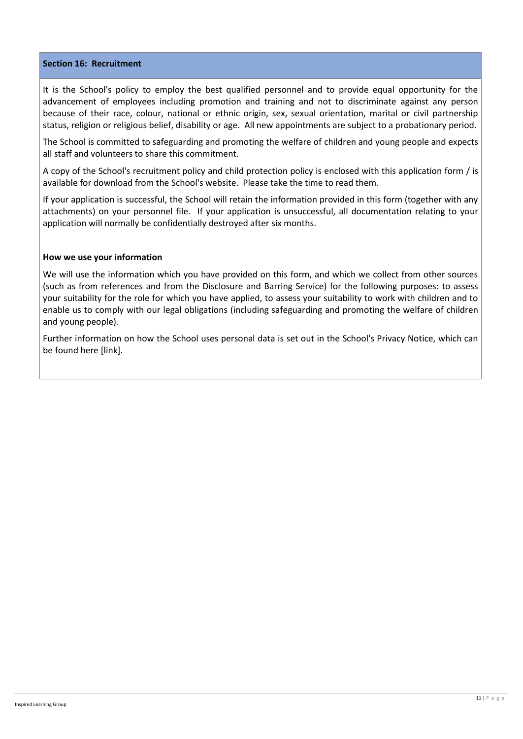#### **Section 16: Recruitment**

It is the School's policy to employ the best qualified personnel and to provide equal opportunity for the advancement of employees including promotion and training and not to discriminate against any person because of their race, colour, national or ethnic origin, sex, sexual orientation, marital or civil partnership status, religion or religious belief, disability or age. All new appointments are subject to a probationary period.

The School is committed to safeguarding and promoting the welfare of children and young people and expects all staff and volunteers to share this commitment.

A copy of the School's recruitment policy and child protection policy is enclosed with this application form / is available for download from the School's website. Please take the time to read them.

If your application is successful, the School will retain the information provided in this form (together with any attachments) on your personnel file. If your application is unsuccessful, all documentation relating to your application will normally be confidentially destroyed after six months.

#### **How we use your information**

We will use the information which you have provided on this form, and which we collect from other sources (such as from references and from the Disclosure and Barring Service) for the following purposes: to assess your suitability for the role for which you have applied, to assess your suitability to work with children and to enable us to comply with our legal obligations (including safeguarding and promoting the welfare of children and young people).

Further information on how the School uses personal data is set out in the School's Privacy Notice, which can be found here [link].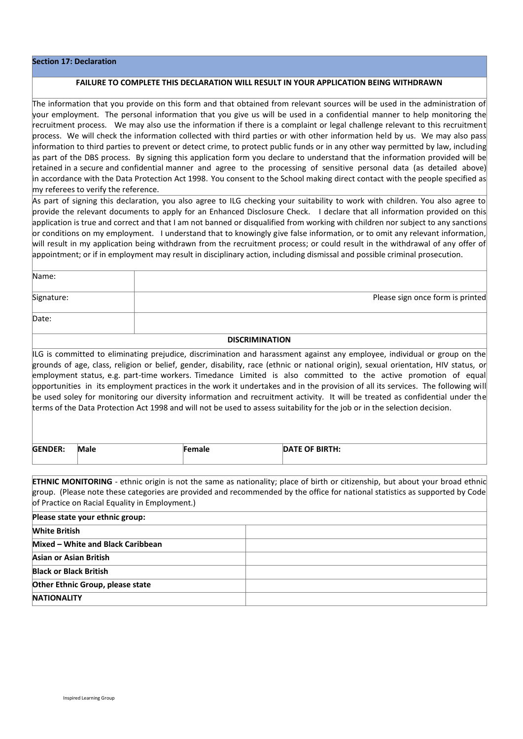#### **Section 17: Declaration**

Date:

#### **FAILURE TO COMPLETE THIS DECLARATION WILL RESULT IN YOUR APPLICATION BEING WITHDRAWN**

The information that you provide on this form and that obtained from relevant sources will be used in the administration of your employment. The personal information that you give us will be used in a confidential manner to help monitoring the recruitment process. We may also use the information if there is a complaint or legal challenge relevant to this recruitment process. We will check the information collected with third parties or with other information held by us. We may also pass information to third parties to prevent or detect crime, to protect public funds or in any other way permitted by law, including as part of the DBS process. By signing this application form you declare to understand that the information provided will be retained in a secure and confidential manner and agree to the processing of sensitive personal data (as detailed above) in accordance with the Data Protection Act 1998. You consent to the School making direct contact with the people specified as my referees to verify the reference.

As part of signing this declaration, you also agree to ILG checking your suitability to work with children. You also agree to provide the relevant documents to apply for an Enhanced Disclosure Check. I declare that all information provided on this application is true and correct and that I am not banned or disqualified from working with children nor subject to any sanctions or conditions on my employment. I understand that to knowingly give false information, or to omit any relevant information, will result in my application being withdrawn from the recruitment process; or could result in the withdrawal of any offer of appointment; or if in employment may result in disciplinary action, including dismissal and possible criminal prosecution.

| Name:      |                                  |
|------------|----------------------------------|
| Signature: | Please sign once form is printed |

#### **DISCRIMINATION**

ILG is committed to eliminating prejudice, discrimination and harassment against any employee, individual or group on the grounds of age, class, religion or belief, gender, disability, race (ethnic or national origin), sexual orientation, HIV status, or employment status, e.g. part-time workers. Timedance Limited is also committed to the active promotion of equal opportunities in its employment practices in the work it undertakes and in the provision of all its services. The following will be used soley for monitoring our diversity information and recruitment activity. It will be treated as confidential under the terms of the Data Protection Act 1998 and will not be used to assess suitability for the job or in the selection decision.

| <b>GENDER:</b><br>Male | паю | <b>ITE OF BIRTH:</b><br>DAIL |  |
|------------------------|-----|------------------------------|--|
|------------------------|-----|------------------------------|--|

**ETHNIC MONITORING** - ethnic origin is not the same as nationality; place of birth or citizenship, but about your broad ethnic group. (Please note these categories are provided and recommended by the office for national statistics as supported by Code of Practice on Racial Equality in Employment.)

| Please state your ethnic group:   |  |  |  |
|-----------------------------------|--|--|--|
| <b>White British</b>              |  |  |  |
| Mixed - White and Black Caribbean |  |  |  |
| Asian or Asian British            |  |  |  |
| <b>Black or Black British</b>     |  |  |  |
| Other Ethnic Group, please state  |  |  |  |
| <b>NATIONALITY</b>                |  |  |  |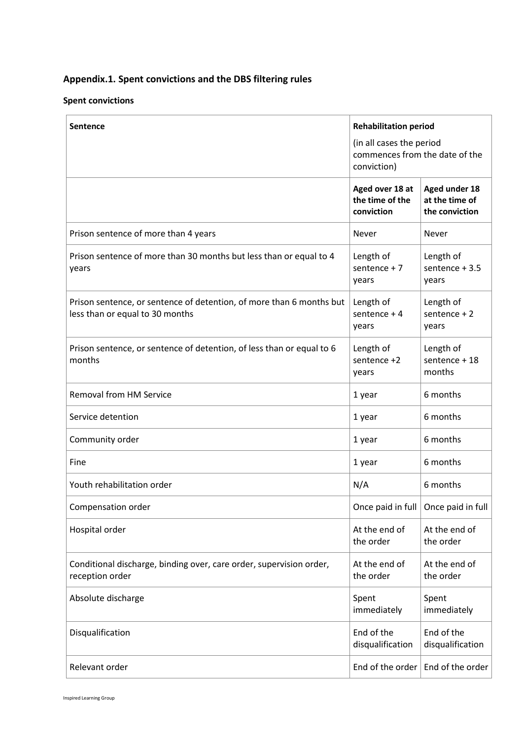# <span id="page-12-0"></span>**Appendix.1. Spent convictions and the DBS filtering rules**

### **Spent convictions**

| <b>Sentence</b>                                                                                         | <b>Rehabilitation period</b>                                              |                                                   |  |
|---------------------------------------------------------------------------------------------------------|---------------------------------------------------------------------------|---------------------------------------------------|--|
|                                                                                                         | (in all cases the period<br>commences from the date of the<br>conviction) |                                                   |  |
|                                                                                                         | Aged over 18 at<br>the time of the<br>conviction                          | Aged under 18<br>at the time of<br>the conviction |  |
| Prison sentence of more than 4 years                                                                    | Never                                                                     | Never                                             |  |
| Prison sentence of more than 30 months but less than or equal to 4<br>years                             | Length of<br>sentence $+7$<br>years                                       | Length of<br>sentence $+3.5$<br>years             |  |
| Prison sentence, or sentence of detention, of more than 6 months but<br>less than or equal to 30 months | Length of<br>sentence $+4$<br>years                                       | Length of<br>sentence $+2$<br>years               |  |
| Prison sentence, or sentence of detention, of less than or equal to 6<br>months                         | Length of<br>sentence +2<br>years                                         | Length of<br>sentence + 18<br>months              |  |
| <b>Removal from HM Service</b>                                                                          | 1 year                                                                    | 6 months                                          |  |
| Service detention                                                                                       | 1 year                                                                    | 6 months                                          |  |
| Community order                                                                                         | 1 year                                                                    | 6 months                                          |  |
| Fine                                                                                                    | 1 year                                                                    | 6 months                                          |  |
| Youth rehabilitation order                                                                              | N/A                                                                       | 6 months                                          |  |
| Compensation order                                                                                      |                                                                           | Once paid in full   Once paid in full             |  |
| Hospital order                                                                                          | At the end of<br>the order                                                | At the end of<br>the order                        |  |
| Conditional discharge, binding over, care order, supervision order,<br>reception order                  | At the end of<br>the order                                                | At the end of<br>the order                        |  |
| Absolute discharge                                                                                      | Spent<br>immediately                                                      | Spent<br>immediately                              |  |
| Disqualification                                                                                        | End of the<br>disqualification                                            | End of the<br>disqualification                    |  |
| Relevant order                                                                                          | End of the order                                                          | End of the order                                  |  |